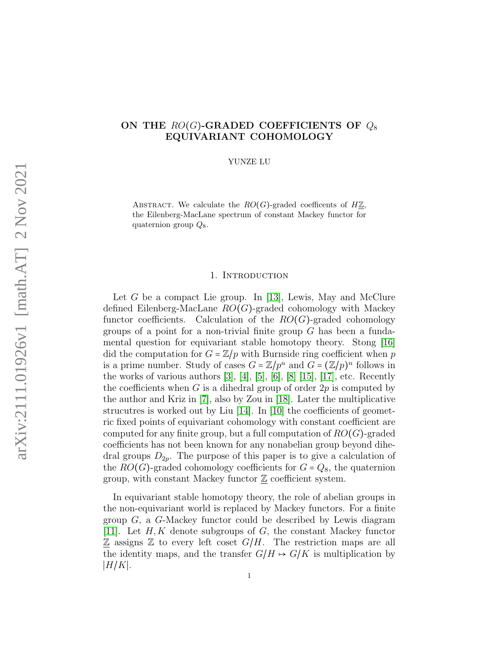# ON THE  $RO(G)$ -GRADED COEFFICIENTS OF  $Q_8$ EQUIVARIANT COHOMOLOGY

YUNZE LU

ABSTRACT. We calculate the  $RO(G)$ -graded coefficents of  $H\mathbb{Z}$ , the Eilenberg-MacLane spectrum of constant Mackey functor for quaternion group  $Q_8$ .

### 1. INTRODUCTION

Let G be a compact Lie group. In [\[13\]](#page-16-0), Lewis, May and McClure defined Eilenberg-MacLane  $RO(G)$ -graded cohomology with Mackey functor coefficients. Calculation of the  $RO(G)$ -graded cohomology groups of a point for a non-trivial finite group  $G$  has been a fundamental question for equivariant stable homotopy theory. Stong [\[16\]](#page-17-0) did the computation for  $G = \mathbb{Z}/p$  with Burnside ring coefficient when p is a prime number. Study of cases  $G = \mathbb{Z}/p^n$  and  $G = (\mathbb{Z}/p)^n$  follows in the works of various authors  $[3]$ ,  $[4]$ ,  $[5]$ ,  $[6]$ ,  $[8]$   $[15]$ ,  $[17]$ , etc. Recently the coefficients when  $G$  is a dihedral group of order  $2p$  is computed by the author and Kriz in [\[7\]](#page-16-6), also by Zou in [\[18\]](#page-17-3). Later the multiplicative strucutres is worked out by Liu [\[14\]](#page-16-7). In [\[10\]](#page-16-8) the coefficients of geometric fixed points of equivariant cohomology with constant coefficient are computed for any finite group, but a full computation of  $RO(G)$ -graded coefficients has not been known for any nonabelian group beyond dihedral groups  $D_{2p}$ . The purpose of this paper is to give a calculation of the  $RO(G)$ -graded cohomology coefficients for  $G = Q_8$ , the quaternion group, with constant Mackey functor  $\mathbb{Z}$  coefficient system.

In equivariant stable homotopy theory, the role of abelian groups in the non-equivariant world is replaced by Mackey functors. For a finite group G, a G-Mackey functor could be described by Lewis diagram [\[11\]](#page-16-9). Let  $H, K$  denote subgroups of  $G$ , the constant Mackey functor  $\mathbb Z$  assigns  $\mathbb Z$  to every left coset  $G/H$ . The restriction maps are all the identity maps, and the transfer  $G/H \rightarrow G/K$  is multiplication by  $|H/K|$ .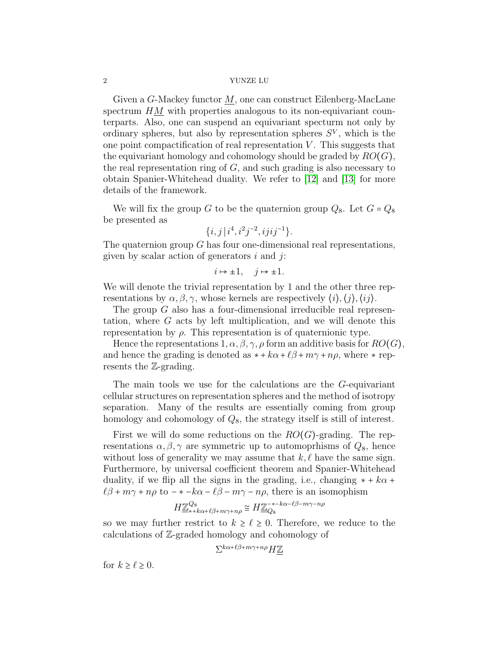Given a G-Mackey functor M, one can construct Eilenberg-MacLane spectrum  $HM$  with properties analogous to its non-equivariant counterparts. Also, one can suspend an equivariant specturm not only by ordinary spheres, but also by representation spheres  $S<sup>V</sup>$ , which is the one point compactification of real representation  $V$ . This suggests that the equivariant homology and cohomology should be graded by  $RO(G)$ , the real representation ring of  $G$ , and such grading is also necessary to obtain Spanier-Whitehead duality. We refer to [\[12\]](#page-16-10) and [\[13\]](#page-16-0) for more details of the framework.

We will fix the group G to be the quaternion group  $Q_8$ . Let  $G = Q_8$ be presented as

$$
\{i,j\,|\,i^4,i^2j^{-2},ijij^{-1}\}.
$$

The quaternion group  $G$  has four one-dimensional real representations, given by scalar action of generators  $i$  and  $j$ :

$$
i \mapsto \pm 1, \quad j \mapsto \pm 1.
$$

We will denote the trivial representation by 1 and the other three representations by  $\alpha, \beta, \gamma$ , whose kernels are respectively  $\langle i \rangle, \langle i \rangle, \langle i \rangle$ .

The group G also has a four-dimensional irreducible real representation, where G acts by left multiplication, and we will denote this representation by  $\rho$ . This representation is of quaternionic type.

Hence the representations  $1, \alpha, \beta, \gamma, \rho$  form an additive basis for  $RO(G)$ , and hence the grading is denoted as  $* +k\alpha+\ell\beta+m\gamma+n\rho$ , where  $*$  represents the Z-grading.

The main tools we use for the calculations are the G-equivariant cellular structures on representation spheres and the method of isotropy separation. Many of the results are essentially coming from group homology and cohomology of  $Q_8$ , the strategy itself is still of interest.

First we will do some reductions on the  $RO(G)$ -grading. The representations  $\alpha, \beta, \gamma$  are symmetric up to automoprhisms of  $Q_8$ , hence without loss of generality we may assume that  $k, \ell$  have the same sign. Furthermore, by universal coefficient theorem and Spanier-Whitehead duality, if we flip all the signs in the grading, i.e., changing  $* + k\alpha +$  $\ell\beta + m\gamma + n\rho$  to  $-\ast -k\alpha - \ell\beta - m\gamma - n\rho$ , there is an isomophism

$$
H\underline{\mathbb{Z}}_{*+k\alpha+\ell\beta+m\gamma+n\rho}^{\mathbb{Q}_8}\cong H\underline{\mathbb{Z}}_{Q_8}^{-* -k\alpha-\ell\beta-m\gamma-n\rho}
$$

so we may further restrict to  $k \geq \ell \geq 0$ . Therefore, we reduce to the calculations of Z-graded homology and cohomology of

$$
\Sigma^{k\alpha+\ell\beta+m\gamma+n\rho}H\underline{\mathbb{Z}}
$$

for  $k \ge \ell \ge 0$ .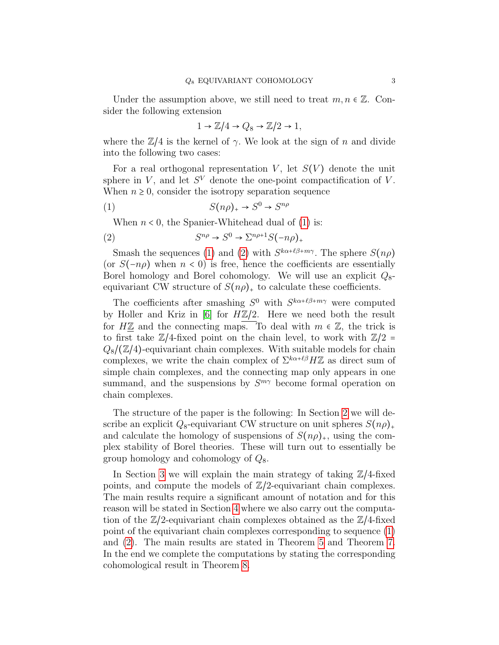Under the assumption above, we still need to treat  $m, n \in \mathbb{Z}$ . Consider the following extension

<span id="page-2-0"></span>
$$
1 \to \mathbb{Z}/4 \to Q_8 \to \mathbb{Z}/2 \to 1,
$$

where the  $\mathbb{Z}/4$  is the kernel of  $\gamma$ . We look at the sign of n and divide into the following two cases:

For a real orthogonal representation V, let  $S(V)$  denote the unit sphere in  $V$ , and let  $S<sup>V</sup>$  denote the one-point compactification of  $V$ . When  $n \geq 0$ , consider the isotropy separation sequence

$$
(1) \tS(n\rho)_+ \to S^0 \to S^{n\rho}
$$

<span id="page-2-1"></span>When  $n < 0$ , the Spanier-Whitehead dual of [\(1\)](#page-2-0) is:

$$
(2) \tS^{n\rho} \to S^0 \to \Sigma^{n\rho+1} S(-n\rho)_+
$$

Smash the sequences [\(1\)](#page-2-0) and [\(2\)](#page-2-1) with  $S^{k\alpha+\ell\beta+m\gamma}$ . The sphere  $S(n\rho)$ (or  $S(-n\rho)$ ) when  $n < 0$ ) is free, hence the coefficients are essentially Borel homology and Borel cohomology. We will use an explicit  $Q_8$ equivariant CW structure of  $S(n\rho)_+$  to calculate these coefficients.

The coefficients after smashing  $S^0$  with  $S^{k\alpha+\ell\beta+m\gamma}$  were computed by Holler and Kriz in [\[6\]](#page-16-4) for  $H\mathbb{Z}/2$ . Here we need both the result for  $H\underline{\mathbb{Z}}$  and the connecting maps. To deal with  $m \in \mathbb{Z}$ , the trick is to first take  $\mathbb{Z}/4$ -fixed point on the chain level, to work with  $\mathbb{Z}/2 =$  $Q_8/(\mathbb{Z}/4)$ -equivariant chain complexes. With suitable models for chain complexes, we write the chain complex of  $\Sigma^{k\alpha+\ell\beta}H\mathbb{Z}$  as direct sum of simple chain complexes, and the connecting map only appears in one summand, and the suspensions by  $S^{m\gamma}$  become formal operation on chain complexes.

The structure of the paper is the following: In Section [2](#page-3-0) we will describe an explicit  $Q_8$ -equivariant CW structure on unit spheres  $S(n\rho)_+$ and calculate the homology of suspensions of  $S(n\rho)_+$ , using the complex stability of Borel theories. These will turn out to essentially be group homology and cohomology of  $Q_8$ .

In Section [3](#page-7-0) we will explain the main strategy of taking  $\mathbb{Z}/4$ -fixed points, and compute the models of  $\mathbb{Z}/2$ -equivariant chain complexes. The main results require a significant amount of notation and for this reason will be stated in Section [4](#page-10-0) where we also carry out the computation of the  $\mathbb{Z}/2$ -equivariant chain complexes obtained as the  $\mathbb{Z}/4$ -fixed point of the equivariant chain complexes corresponding to sequence [\(1\)](#page-2-0) and [\(2\)](#page-2-1). The main results are stated in Theorem [5](#page-13-0) and Theorem [7.](#page-15-0) In the end we complete the computations by stating the corresponding cohomological result in Theorem [8.](#page-15-1)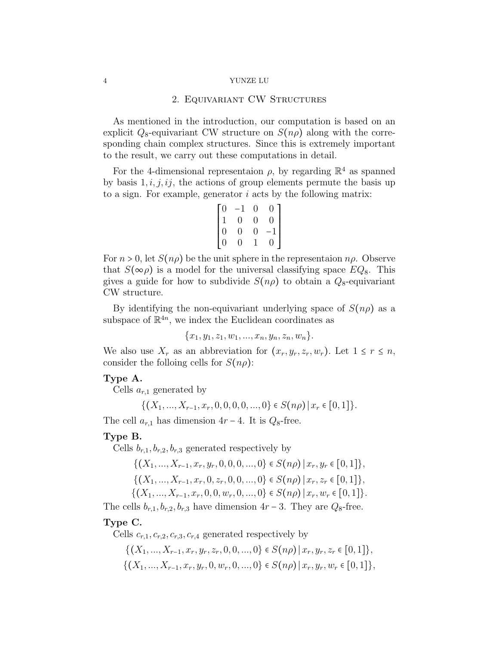### 2. Equivariant CW Structures

<span id="page-3-0"></span>As mentioned in the introduction, our computation is based on an explicit  $Q_8$ -equivariant CW structure on  $S(n\rho)$  along with the corresponding chain complex structures. Since this is extremely important to the result, we carry out these computations in detail.

For the 4-dimensional representaion  $\rho$ , by regarding  $\mathbb{R}^4$  as spanned by basis  $1, i, j, ij$ , the actions of group elements permute the basis up to a sign. For example, generator i acts by the following matrix:

$$
\begin{bmatrix} 0 & -1 & 0 & 0 \\ 1 & 0 & 0 & 0 \\ 0 & 0 & 0 & -1 \\ 0 & 0 & 1 & 0 \end{bmatrix}
$$

For  $n > 0$ , let  $S(n\rho)$  be the unit sphere in the representaion  $n\rho$ . Observe that  $S(\infty \rho)$  is a model for the universal classifying space  $EQ_8$ . This gives a guide for how to subdivide  $S(n\rho)$  to obtain a  $Q_8$ -equivariant CW structure.

By identifying the non-equivariant underlying space of  $S(n\rho)$  as a subspace of  $\mathbb{R}^{4n}$ , we index the Euclidean coordinates as

$$
\{x_1, y_1, z_1, w_1, ..., x_n, y_n, z_n, w_n\}.
$$

We also use  $X_r$  as an abbreviation for  $(x_r, y_r, z_r, w_r)$ . Let  $1 \leq r \leq n$ , consider the folloing cells for  $S(n\rho)$ :

### Type A.

Cells  $a_{r,1}$  generated by

$$
\{(X_1, ..., X_{r-1}, x_r, 0, 0, 0, 0, ..., 0\} \in S(n\rho) | x_r \in [0,1] \}.
$$

The cell  $a_{r,1}$  has dimension  $4r - 4$ . It is  $Q_8$ -free.

#### Type B.

Cells  $b_{r,1}, b_{r,2}, b_{r,3}$  generated respectively by

$$
\{(X_1, ..., X_{r-1}, x_r, y_r, 0, 0, 0, ..., 0\} \in S(n\rho) | x_r, y_r \in [0, 1]\},\
$$

$$
\{(X_1, ..., X_{r-1}, x_r, 0, z_r, 0, 0, ..., 0\} \in S(n\rho) | x_r, z_r \in [0, 1]\},\
$$

$$
\{(X_1, ..., X_{r-1}, x_r, 0, 0, w_r, 0, ..., 0\} \in S(n\rho) | x_r, w_r \in [0, 1]\}.
$$

The cells  $b_{r,1}, b_{r,2}, b_{r,3}$  have dimension  $4r - 3$ . They are  $Q_8$ -free.

### Type C.

Cells  $c_{r,1}, c_{r,2}, c_{r,3}, c_{r,4}$  generated respectively by

$$
\{(X_1, ..., X_{r-1}, x_r, y_r, z_r, 0, 0, ..., 0\} \in S(n\rho) | x_r, y_r, z_r \in [0, 1]\},\
$$

$$
\{(X_1, ..., X_{r-1}, x_r, y_r, 0, w_r, 0, ..., 0\} \in S(n\rho) | x_r, y_r, w_r \in [0, 1]\},\
$$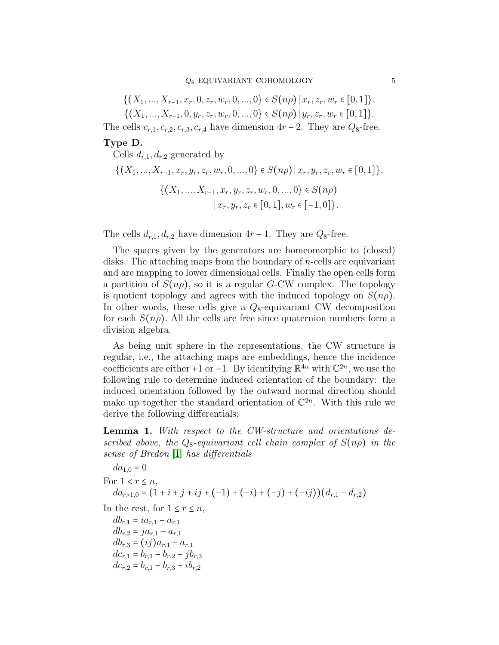$$
\{(X_1, ..., X_{r-1}, x_r, 0, z_r, w_r, 0, ..., 0\} \in S(n\rho) | x_r, z_r, w_r \in [0, 1]\},\
$$

$$
\{(X_1, ..., X_{r-1}, 0, y_r, z_r, w_r, 0, ..., 0\} \in S(n\rho) | y_r, z_r, w_r \in [0, 1]\}.
$$

The cells  $c_{r,1}, c_{r,2}, c_{r,3}, c_{r,4}$  have dimension  $4r - 2$ . They are  $Q_8$ -free.

### Type D.

Cells  $d_{r,1}, d_{r,2}$  generated by

$$
\{(X_1, ..., X_{r-1}, x_r, y_r, z_r, w_r, 0, ..., 0\} \in S(n\rho) | x_r, y_r, z_r, w_r \in [0, 1]\},\
$$

$$
\{(X_1, ..., X_{r-1}, x_r, y_r, z_r, w_r, 0, ..., 0\} \in S(n\rho)
$$

$$
| x_r, y_r, z_r \in [0, 1], w_r \in [-1, 0]\}.
$$

The cells  $d_{r,1}, d_{r,2}$  have dimension  $4r - 1$ . They are  $Q_8$ -free.

The spaces given by the generators are homeomorphic to (closed) disks. The attaching maps from the boundary of n-cells are equivariant and are mapping to lower dimensional cells. Finally the open cells form a partition of  $S(n\rho)$ , so it is a regular G-CW complex. The topology is quotient topology and agrees with the induced topology on  $S(n\rho)$ . In other words, these cells give a  $Q_8$ -equivariant CW decomposition for each  $S(n\rho)$ . All the cells are free since quaternion numbers form a division algebra.

As being unit sphere in the representations, the CW structure is regular, i.e., the attaching maps are embeddings, hence the incidence coefficients are either +1 or −1. By identifying  $\mathbb{R}^{4n}$  with  $\mathbb{C}^{2n}$ , we use the following rule to determine induced orientation of the boundary: the induced orientation followed by the outward normal direction should make up together the standard orientation of  $\mathbb{C}^{2n}$ . With this rule we derive the following differentials:

<span id="page-4-0"></span>Lemma 1. With respect to the CW-structure and orientations described above, the  $Q_8$ -equivariant cell chain complex of  $S(n\rho)$  in the sense of Bredon [\[1\]](#page-16-11) has differentials

$$
da_{1,0} = 0
$$
  
For  $1 < r \le n$ ,  

$$
da_{r>1,0} = (1 + i + j + ij + (-1) + (-i) + (-j) + (-ij))(d_{r,1} - d_{r,2})
$$
  
In the rest, for  $1 \le r \le n$ ,  

$$
db_{r,1} = ia_{r,1} - a_{r,1}
$$
  

$$
db_{r,2} = ja_{r,1} - a_{r,1}
$$
  

$$
db_{r,3} = (ij)a_{r,1} - a_{r,1}
$$
  

$$
dc_{r,1} = b_{r,1} - b_{r,2} - jb_{r,3}
$$
  

$$
dc_{r,2} = b_{r,1} - b_{r,3} + ib_{r,2}
$$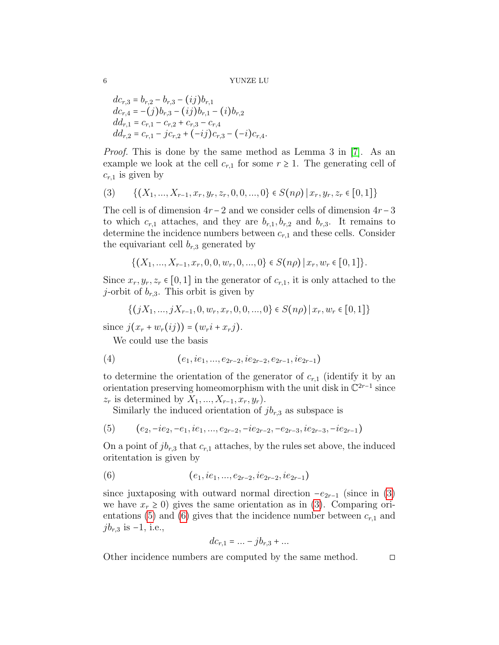$$
dc_{r,3} = b_{r,2} - b_{r,3} - (ij)b_{r,1}
$$
  
\n
$$
dc_{r,4} = -(j)b_{r,3} - (ij)b_{r,1} - (i)b_{r,2}
$$
  
\n
$$
dd_{r,1} = c_{r,1} - c_{r,2} + c_{r,3} - c_{r,4}
$$
  
\n
$$
dd_{r,2} = c_{r,1} - jc_{r,2} + (-ij)c_{r,3} - (-i)c_{r,4}.
$$

Proof. This is done by the same method as Lemma 3 in [\[7\]](#page-16-6). As an example we look at the cell  $c_{r,1}$  for some  $r \geq 1$ . The generating cell of  $c_{r,1}$  is given by

<span id="page-5-0"></span>
$$
(3) \qquad \{(X_1, ..., X_{r-1}, x_r, y_r, z_r, 0, 0, ..., 0\} \in S(n\rho) \mid x_r, y_r, z_r \in [0, 1]\}
$$

The cell is of dimension  $4r - 2$  and we consider cells of dimension  $4r - 3$ to which  $c_{r,1}$  attaches, and they are  $b_{r,1}, b_{r,2}$  and  $b_{r,3}$ . It remains to determine the incidence numbers between  $c_{r,1}$  and these cells. Consider the equivariant cell  $b_{r,3}$  generated by

$$
\{(X_1, ..., X_{r-1}, x_r, 0, 0, w_r, 0, ..., 0\} \in S(n\rho) \mid x_r, w_r \in [0, 1]\}.
$$

Since  $x_r, y_r, z_r \in [0, 1]$  in the generator of  $c_{r,1}$ , it is only attached to the j-orbit of  $b_{r,3}$ . This orbit is given by

$$
\{(jX_1, ..., jX_{r-1}, 0, w_r, x_r, 0, 0, ..., 0\} \in S(n\rho) | x_r, w_r \in [0, 1]\}
$$

since  $j(x_r + w_r(ij)) = (w_r i + x_r j)$ .

We could use the basis

$$
(4) \qquad (e_1, ie_1, ..., e_{2r-2}, ie_{2r-2}, e_{2r-1}, ie_{2r-1})
$$

to determine the orientation of the generator of  $c_{r,1}$  (identify it by an orientation preserving homeomorphism with the unit disk in  $\mathbb{C}^{2r-1}$  since  $z_r$  is determined by  $X_1, \ldots, X_{r-1}, x_r, y_r$ ).

<span id="page-5-1"></span>Similarly the induced orientation of  $jb_{r,3}$  as subspace is

$$
(5) \qquad (e_2, -ie_2, -e_1, ie_1, \ldots, e_{2r-2}, -ie_{2r-2}, -e_{2r-3}, ie_{2r-3}, -ie_{2r-1})
$$

On a point of  $jb_{r,3}$  that  $c_{r,1}$  attaches, by the rules set above, the induced oritentation is given by

(6) 
$$
(e_1, ie_1, ..., e_{2r-2}, ie_{2r-2}, ie_{2r-1})
$$

since juxtaposing with outward normal direction  $-e_{2r-1}$  (since in [\(3\)](#page-5-0) we have  $x_r \geq 0$ ) gives the same orientation as in [\(3\)](#page-5-0). Comparing ori-entations [\(5\)](#page-5-1) and [\(6\)](#page-5-2) gives that the incidence number between  $c_{r,1}$  and  $jb_{r,3}$  is -1, i.e.,

<span id="page-5-2"></span>
$$
dc_{r,1} = \dots - jb_{r,3} + \dots
$$

Other incidence numbers are computed by the same method. □

$$
\boldsymbol{6}
$$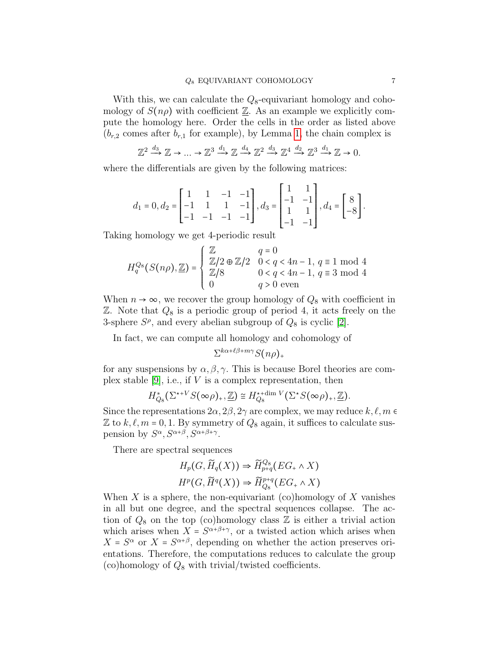With this, we can calculate the  $Q_8$ -equivariant homology and cohomology of  $S(n\rho)$  with coefficient  $\underline{\mathbb{Z}}$ . As an example we explicitly compute the homology here. Order the cells in the order as listed above  $(b_{r,2}$  comes after  $b_{r,1}$  for example), by Lemma [1,](#page-4-0) the chain complex is

$$
\mathbb{Z}^2 \xrightarrow{d_3} \mathbb{Z} \to \dots \to \mathbb{Z}^3 \xrightarrow{d_1} \mathbb{Z} \xrightarrow{d_4} \mathbb{Z}^2 \xrightarrow{d_3} \mathbb{Z}^4 \xrightarrow{d_2} \mathbb{Z}^3 \xrightarrow{d_1} \mathbb{Z} \to 0.
$$

where the differentials are given by the following matrices:

$$
d_1 = 0, d_2 = \begin{bmatrix} 1 & 1 & -1 & -1 \\ -1 & 1 & 1 & -1 \\ -1 & -1 & -1 & -1 \end{bmatrix}, d_3 = \begin{bmatrix} 1 & 1 \\ -1 & -1 \\ 1 & 1 \\ -1 & -1 \end{bmatrix}, d_4 = \begin{bmatrix} 8 \\ -8 \\ -8 \end{bmatrix}.
$$

Taking homology we get 4-periodic result

$$
H_q^{Q_8}(S(n\rho), \underline{\mathbb{Z}}) = \begin{cases} \underline{\mathbb{Z}} & q = 0 \\ \underline{\mathbb{Z}}/2 \oplus \underline{\mathbb{Z}}/2 & 0 < q < 4n - 1, q \equiv 1 \mod 4 \\ \underline{\mathbb{Z}}/8 & 0 < q < 4n - 1, q \equiv 3 \mod 4 \\ 0 & q > 0 \text{ even} \end{cases}
$$

When  $n \to \infty$ , we recover the group homology of  $Q_8$  with coefficient in  $\mathbb{Z}$ . Note that  $Q_8$  is a periodic group of period 4, it acts freely on the 3-sphere  $S^{\rho}$ , and every abelian subgroup of  $Q_8$  is cyclic [\[2\]](#page-16-12).

In fact, we can compute all homology and cohomology of

 $\Sigma^{k\alpha+\ell\beta+m\gamma}S(n\rho)_+$ 

for any suspensions by  $\alpha, \beta, \gamma$ . This is because Borel theories are com-plex stable [\[9\]](#page-16-13), i.e., if  $V$  is a complex representation, then

$$
H_{Q_8}^*(\Sigma^{*+V}S(\infty\rho)_+,\underline{\mathbb{Z}})\cong H_{Q_8}^{*+\dim V}(\Sigma^*S(\infty\rho)_+,\underline{\mathbb{Z}}).
$$

Since the representations  $2\alpha$ ,  $2\beta$ ,  $2\gamma$  are complex, we may reduce  $k, \ell, m$ Z to  $k, \ell, m = 0, 1$ . By symmetry of  $Q_8$  again, it suffices to calculate suspension by  $S^{\alpha}$ ,  $S^{\alpha+\beta}$ ,  $S^{\alpha+\beta+\gamma}$ .

There are spectral sequences

$$
H_p(G, \widetilde{H}_q(X)) \Rightarrow \widetilde{H}_{p+q}^{Q_8}(EG_+ \wedge X)
$$
  

$$
H^p(G, \widetilde{H}^q(X)) \Rightarrow \widetilde{H}_{Q_8}^{p+q}(EG_+ \wedge X)
$$

When X is a sphere, the non-equivariant (co)homology of X vanishes in all but one degree, and the spectral sequences collapse. The action of  $Q_8$  on the top (co)homology class  $\mathbb Z$  is either a trivial action which arises when  $X = S^{\alpha+\beta+\gamma}$ , or a twisted action which arises when  $X = S^{\alpha}$  or  $X = S^{\alpha+\beta}$ , depending on whether the action preserves orientations. Therefore, the computations reduces to calculate the group (co)homology of  $Q_8$  with trivial/twisted coefficients.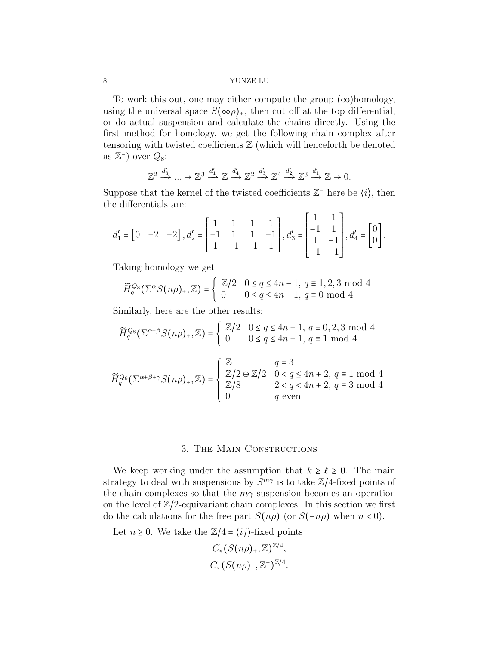To work this out, one may either compute the group (co)homology, using the universal space  $S(\infty \rho)_+$ , then cut off at the top differential, or do actual suspension and calculate the chains directly. Using the first method for homology, we get the following chain complex after tensoring with twisted coefficients  $\mathbb{Z}$  (which will henceforth be denoted as  $\mathbb{Z}^-$ ) over  $Q_8$ :

$$
\mathbb{Z}^2 \xrightarrow{d'_3} \dots \to \mathbb{Z}^3 \xrightarrow{d'_1} \mathbb{Z} \xrightarrow{d'_4} \mathbb{Z}^2 \xrightarrow{d'_3} \mathbb{Z}^4 \xrightarrow{d'_2} \mathbb{Z}^3 \xrightarrow{d'_1} \mathbb{Z} \to 0.
$$

Suppose that the kernel of the twisted coefficients  $\mathbb{Z}$ <sup>-</sup> here be  $(i)$ , then the differentials are:

$$
d_1' = \begin{bmatrix} 0 & -2 & -2 \end{bmatrix}, d_2' = \begin{bmatrix} 1 & 1 & 1 & 1 \\ -1 & 1 & 1 & -1 \\ 1 & -1 & -1 & 1 \end{bmatrix}, d_3' = \begin{bmatrix} 1 & 1 \\ -1 & 1 \\ -1 & -1 \end{bmatrix}, d_4' = \begin{bmatrix} 0 \\ 0 \end{bmatrix}.
$$

Taking homology we get

$$
\widetilde{H}_q^{Q_8}(\Sigma^{\alpha}S(n\rho)_+,\underline{\mathbb{Z}}) = \begin{cases} \mathbb{Z}/2 & 0 \le q \le 4n-1, \ q \equiv 1,2,3 \text{ mod } 4\\ 0 & 0 \le q \le 4n-1, \ q \equiv 0 \text{ mod } 4 \end{cases}
$$

Similarly, here are the other results:

$$
\widetilde{H}_q^{Q_8}(\Sigma^{\alpha+\beta}S(n\rho)_+, \underline{\mathbb{Z}}) = \begin{cases} \mathbb{Z}/2 & 0 \le q \le 4n+1, q \equiv 0, 2, 3 \text{ mod } 4\\ 0 & 0 \le q \le 4n+1, q \equiv 1 \text{ mod } 4 \end{cases}
$$

$$
\widetilde{H}_q^{Q_8}(\Sigma^{\alpha+\beta+\gamma}S(n\rho)_+,\underline{\mathbb{Z}}) = \begin{cases} \underline{\mathbb{Z}} & q=3\\ \underline{\mathbb{Z}}/2 \oplus \underline{\mathbb{Z}}/2 & 0 < q \le 4n+2, q \equiv 1 \mod 4\\ \underline{\mathbb{Z}}/8 & 2 < q < 4n+2, q \equiv 3 \mod 4\\ 0 & q \text{ even} \end{cases}
$$

### 3. The Main Constructions

<span id="page-7-0"></span>We keep working under the assumption that  $k \geq \ell \geq 0$ . The main strategy to deal with suspensions by  $S^{m\gamma}$  is to take  $\mathbb{Z}/4$ -fixed points of the chain complexes so that the  $m\gamma$ -suspension becomes an operation on the level of  $\mathbb{Z}/2$ -equivariant chain complexes. In this section we first do the calculations for the free part  $S(n\rho)$  (or  $S(-n\rho)$ ) when  $n < 0$ ).

Let  $n \geq 0$ . We take the  $\mathbb{Z}/4 = \langle ij \rangle$ -fixed points

$$
C_*(S(n\rho)_+, \underline{\mathbb{Z}})^{\mathbb{Z}/4},
$$
  

$$
C_*(S(n\rho)_+, \underline{\mathbb{Z}}^-)^{\mathbb{Z}/4}.
$$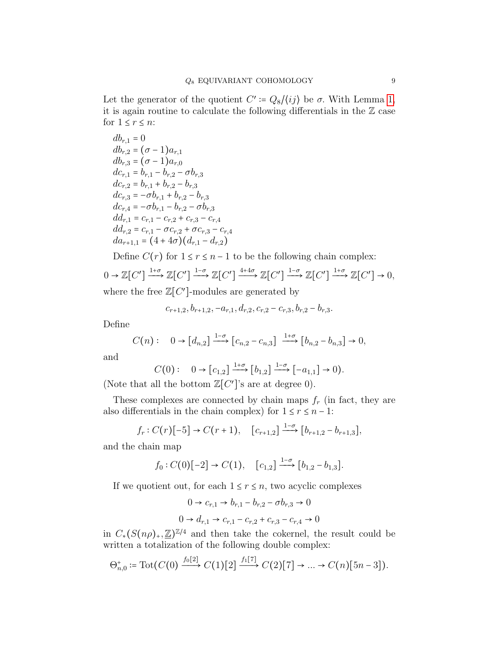Let the generator of the quotient  $C' \coloneqq Q_8 / \langle ij \rangle$  be  $\sigma$ . With Lemma [1,](#page-4-0) it is again routine to calculate the following differentials in the  $\mathbb Z$  case for  $1 \leq r \leq n$ :

 $db_{r,1} = 0$  $db_{r,2} = (\sigma - 1)a_{r,1}$  $db_{r,3} = (\sigma - 1)a_{r,0}$  $dc_{r,1} = b_{r,1} - b_{r,2} - \sigma b_{r,3}$  $dc_{r,2} = b_{r,1} + b_{r,2} - b_{r,3}$  $dc_{r,3} = -\sigma b_{r,1} + b_{r,2} - b_{r,3}$  $dc_{r,4} = -\sigma b_{r,1} - b_{r,2} - \sigma b_{r,3}$  $dd_{r,1} = c_{r,1} - c_{r,2} + c_{r,3} - c_{r,4}$  $dd_{r,2} = c_{r,1} - \sigma c_{r,2} + \sigma c_{r,3} - c_{r,4}$  $da_{r+1,1} = (4+4\sigma)(d_{r,1} - d_{r,2})$ 

Define  $C(r)$  for  $1 \le r \le n-1$  to be the following chain complex:

$$
0 \to \mathbb{Z}[C'] \xrightarrow{1+\sigma} \mathbb{Z}[C'] \xrightarrow{1-\sigma} \mathbb{Z}[C'] \xrightarrow{4+4\sigma} \mathbb{Z}[C'] \xrightarrow{1-\sigma} \mathbb{Z}[C'] \xrightarrow{1+\sigma} \mathbb{Z}[C'] \to 0,
$$

where the free  $\mathbb{Z}[C']$ -modules are generated by

$$
c_{r+1,2}, b_{r+1,2}, -a_{r,1}, d_{r,2}, c_{r,2} - c_{r,3}, b_{r,2} - b_{r,3}.
$$

Define

$$
C(n): \quad 0 \to [d_{n,2}] \xrightarrow{1-\sigma} [c_{n,2} - c_{n,3}] \xrightarrow{1+\sigma} [b_{n,2} - b_{n,3}] \to 0,
$$

and

$$
C(0): \quad 0 \to [c_{1,2}] \xrightarrow{1+\sigma} [b_{1,2}] \xrightarrow{1-\sigma} [-a_{1,1}] \to 0).
$$

(Note that all the bottom  $\mathbb{Z}[C']$ 's are at degree 0).

These complexes are connected by chain maps  $f_r$  (in fact, they are also differentials in the chain complex) for  $1 \le r \le n - 1$ :

$$
f_r: C(r)[-5] \to C(r+1), \quad [c_{r+1,2}] \xrightarrow{1-\sigma} [b_{r+1,2} - b_{r+1,3}],
$$

and the chain map

$$
f_0: C(0)[-2] \rightarrow C(1), \quad [c_{1,2}] \xrightarrow{1-\sigma} [b_{1,2} - b_{1,3}].
$$

If we quotient out, for each  $1 \le r \le n$ , two acyclic complexes

$$
0 \to c_{r,1} \to b_{r,1} - b_{r,2} - \sigma b_{r,3} \to 0
$$
  

$$
0 \to d_{r,1} \to c_{r,1} - c_{r,2} + c_{r,3} - c_{r,4} \to 0
$$

in  $C_*(S(n\rho)_*,\mathbb{Z})^{\mathbb{Z}/4}$  and then take the cokernel, the result could be written a totalization of the following double complex:

$$
\Theta_{n,0}^+ \coloneqq \mathrm{Tot}(C(0) \xrightarrow{f_0[2]} C(1)[2] \xrightarrow{f_1[7]} C(2)[7] \to \dots \to C(n)[5n-3]).
$$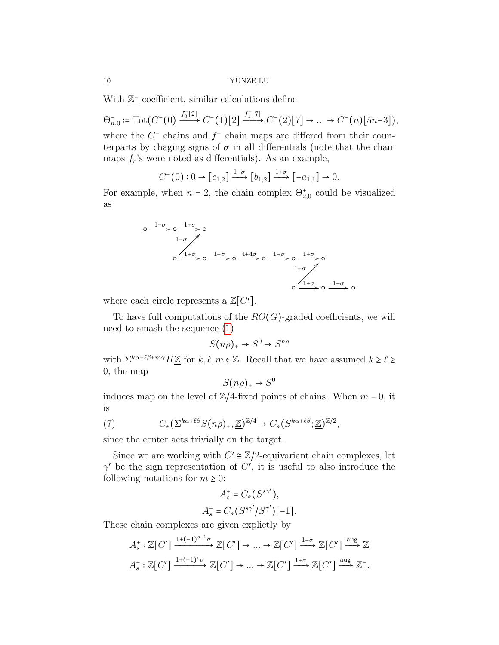With  $\underline{\mathbb{Z}}^-$  coefficient, similar calculations define

 $\Theta_{n,0}^- \coloneqq \text{Tot}(C^-(0) \xrightarrow{f_0^-[2]} C^-(1)[2] \xrightarrow{f_1^-[7]} C^-(2)[7] \to \dots \to C^-(n)[5n-3]),$ 

where the  $C^-$  chains and  $f^-$  chain maps are differed from their counterparts by chaging signs of  $\sigma$  in all differentials (note that the chain maps  $f_r$ 's were noted as differentials). As an example,

$$
C^{-}(0): 0 \to [c_{1,2}] \xrightarrow{1-\sigma} [b_{1,2}] \xrightarrow{1+\sigma} [-a_{1,1}] \to 0.
$$

For example, when  $n = 2$ , the chain complex  $\Theta_{2,0}^{+}$  could be visualized as

$$
\begin{array}{ccccccccc}\n0 & \xrightarrow{1-\sigma} & 0 & \xrightarrow{1+\sigma} & 0 \\
& & 1-\sigma & & \\
& & 0 & \xrightarrow{1+\sigma} & 0 & \xrightarrow{1-\sigma} & 0 & \xrightarrow{1-\sigma} & 0 \\
& & & & 1-\sigma & & \\
& & & & & 1-\sigma & & \\
& & & & & & 1-\sigma & & \\
& & & & & & & 0\n\end{array}
$$

where each circle represents a  $\mathbb{Z}[C']$ .

To have full computations of the  $RO(G)$ -graded coefficients, we will need to smash the sequence [\(1\)](#page-2-0)

$$
S(n\rho)_+ \to S^0 \to S^{n\rho}
$$

with  $\Sigma^{k\alpha+\ell\beta+m\gamma}H\underline{\mathbb{Z}}$  for  $k, \ell, m \in \mathbb{Z}$ . Recall that we have assumed  $k \ge \ell \ge$ 0, the map

$$
S(n\rho)_+ \to S^0
$$

induces map on the level of  $\mathbb{Z}/4$ -fixed points of chains. When  $m = 0$ , it is

<span id="page-9-0"></span>(7) 
$$
C_*(\Sigma^{k\alpha+\ell\beta}S(n\rho)_*,\mathbb{Z})^{\mathbb{Z}/4}\to C_*(S^{k\alpha+\ell\beta};\mathbb{Z})^{\mathbb{Z}/2},
$$

since the center acts trivially on the target.

Since we are working with  $C' \cong \mathbb{Z}/2$ -equivariant chain complexes, let  $\gamma'$  be the sign representation of C', it is useful to also introduce the following notations for  $m \geq 0$ :

$$
A_s^+ = C_* (S^{s\gamma'}),
$$
  

$$
A_s^- = C_* (S^{s\gamma'}/S^{\gamma'})[-1].
$$

These chain complexes are given explictly by

$$
A_s^*: \mathbb{Z}[C'] \xrightarrow{1+(-1)^{s-1}\sigma} \mathbb{Z}[C'] \to \dots \to \mathbb{Z}[C'] \xrightarrow{1-\sigma} \mathbb{Z}[C'] \xrightarrow{\text{aug}} \mathbb{Z}
$$

$$
A_s^-: \mathbb{Z}[C'] \xrightarrow{1+(-1)^s\sigma} \mathbb{Z}[C'] \to \dots \to \mathbb{Z}[C'] \xrightarrow{1+\sigma} \mathbb{Z}[C'] \xrightarrow{\text{aug}} \mathbb{Z}^-.
$$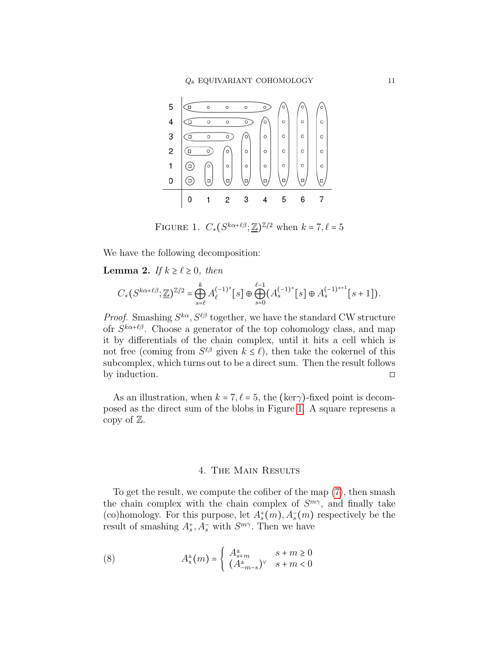<span id="page-10-1"></span>

FIGURE 1.  $C_*(S^{k\alpha+\ell\beta};\underline{\mathbb{Z}})^{\mathbb{Z}/2}$  when  $k = 7, \ell = 5$ 

We have the following decomposition:

**Lemma 2.** If  $k \geq \ell \geq 0$ , then

$$
C_*(S^{k\alpha+\ell\beta};\underline{\mathbb{Z}})^{\mathbb{Z}/2} = \bigoplus_{s=\ell}^k A_{\ell}^{(-1)^s}[s] \oplus \bigoplus_{s=0}^{\ell-1} (A_s^{(-1)^s}[s] \oplus A_s^{(-1)^{s+1}}[s+1]).
$$

*Proof.* Smashing  $S^{k\alpha}, S^{\ell\beta}$  together, we have the standard CW structure ofr  $S^{k\alpha+\ell\beta}$ . Choose a generator of the top cohomology class, and map it by differentials of the chain complex, until it hits a cell which is not free (coming from  $S^{\ell\beta}$  given  $k \leq \ell$ ), then take the cokernel of this subcomplex, which turns out to be a direct sum. Then the result follows by induction.  $\Box$ 

As an illustration, when  $k = 7, \ell = 5$ , the (ker<sub> $\gamma$ </sub>)-fixed point is decomposed as the direct sum of the blobs in Figure [1.](#page-10-1) A square represens a copy of  $\mathbb{Z}$ .

# 4. The Main Results

<span id="page-10-0"></span>To get the result, we compute the cofiber of the map [\(7\)](#page-9-0), then smash the chain complex with the chain complex of  $S^{m\gamma}$ , and finally take (co)homology. For this purpose, let  $A_s^+(m)$ ,  $A_s^-(m)$  respectively be the result of smashing  $A_s^+, A_s^-$  with  $S^{m\gamma}$ . Then we have

(8) 
$$
A_s^{\pm}(m) = \begin{cases} A_{s+m}^{\pm} & s+m \ge 0\\ (A_{-m-s}^{\pm})^{\vee} & s+m < 0 \end{cases}
$$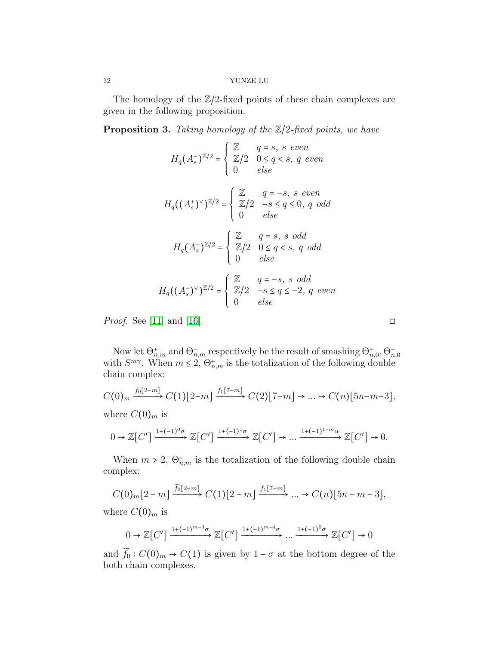The homology of the  $\mathbb{Z}/2$ -fixed points of these chain complexes are given in the following proposition.

<span id="page-11-0"></span>**Proposition 3.** Taking homology of the  $\mathbb{Z}/2$ -fixed points, we have

$$
H_q(A_s^*)^{\mathbb{Z}/2} = \begin{cases} \mathbb{Z} & q = s, s \text{ even} \\ \mathbb{Z}/2 & 0 \le q < s, q \text{ even} \\ 0 & else \end{cases}
$$
  

$$
H_q((A_s^*)^\vee)^{\mathbb{Z}/2} = \begin{cases} \mathbb{Z} & q = -s, s \text{ even} \\ \mathbb{Z}/2 & -s \le q \le 0, q \text{ odd} \\ 0 & else \end{cases}
$$
  

$$
H_q(A_s^-)^{\mathbb{Z}/2} = \begin{cases} \mathbb{Z} & q = s, s \text{ odd} \\ \mathbb{Z}/2 & 0 \le q < s, q \text{ odd} \\ 0 & else \end{cases}
$$
  

$$
H_q((A_s^-)^\vee)^{\mathbb{Z}/2} = \begin{cases} \mathbb{Z} & q = -s, s \text{ odd} \\ \mathbb{Z}/2 & -s \le q \le -2, q \text{ even} \\ 0 & else \end{cases}
$$

*Proof.* See [\[11\]](#page-16-9) and [\[16\]](#page-17-0).  $\Box$ 

Now let  $\Theta_{n,m}^+$  and  $\Theta_{n,m}^-$  respectively be the result of smashing  $\Theta_{n,0}^+$ ,  $\Theta_{n,0}^-$  with  $S^{m\gamma}$ . When  $m \leq 2$ ,  $\Theta_{n,m}^+$  is the totalization of the following double chain complex:

$$
C(0)_m \xrightarrow{f_0[2-m]} C(1)[2-m] \xrightarrow{f_1[7-m]} C(2)[7-m] \rightarrow \dots \rightarrow C(n)[5n-m-3],
$$
  
where  $C(0)_m$  is

$$
0 \to \mathbb{Z}[C'] \xrightarrow{1+(-1)^0 \sigma} \mathbb{Z}[C'] \xrightarrow{1+(-1)^1 \sigma} \mathbb{Z}[C'] \to \dots \xrightarrow{1+(-1)^{1-m} \alpha} \mathbb{Z}[C'] \to 0.
$$

When  $m > 2$ ,  $\Theta_{n,m}^+$  is the totalization of the following double chain complex:

$$
C(0)_{m}[2-m] \xrightarrow{\widetilde{f}_{0}[2-m]} C(1)[2-m] \xrightarrow{f_{1}[7-m]} \dots \to C(n)[5n-m-3],
$$

where  $C(0)_m$  is

$$
0 \to \mathbb{Z}[C'] \xrightarrow{1+(-1)^{m-3}\sigma} \mathbb{Z}[C'] \xrightarrow{1+(-1)^{m-4}\sigma} \dots \xrightarrow{1+(-1)^0\sigma} \mathbb{Z}[C'] \to 0
$$

and  $\widetilde{f}_0$  :  $C(0)_m \to C(1)$  is given by  $1 - \sigma$  at the bottom degree of the both chain complexes.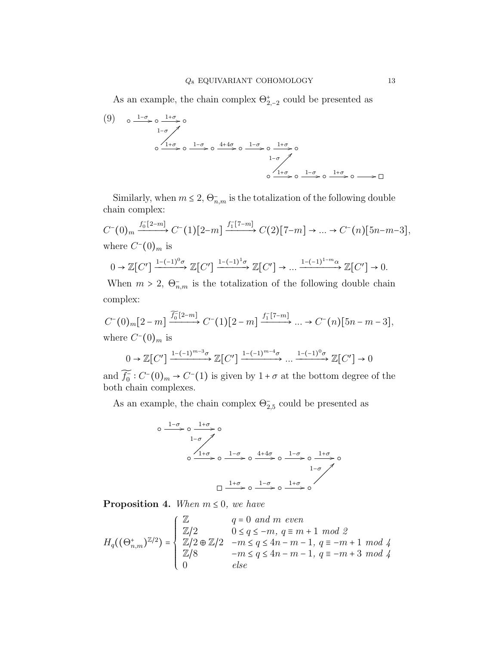As an example, the chain complex  $\Theta_{2,-2}^{+}$  could be presented as

$$
(9) \quad \circ \xrightarrow{1-\sigma} \circ \xrightarrow{1+\sigma} \circ
$$
\n
$$
\circ \xrightarrow{1+\sigma} \circ \xrightarrow{1-\sigma} \circ \xrightarrow{4+4\sigma} \circ \xrightarrow{1-\sigma} \circ \xrightarrow{1+\sigma} \circ
$$
\n
$$
\circ \xrightarrow{1+\sigma} \circ \xrightarrow{1-\sigma} \circ \xrightarrow{1+\sigma} \circ \xrightarrow{1+\sigma} \circ \xrightarrow{1+\sigma} \circ \xrightarrow{1+\sigma} \circ \xrightarrow{1+\sigma} \circ \xrightarrow{1+\sigma} \circ \xrightarrow{1+\sigma} \circ \xrightarrow{1+\sigma} \circ \xrightarrow{1+\sigma} \circ \xrightarrow{1+\sigma} \circ \xrightarrow{1+\sigma} \circ \xrightarrow{1+\sigma} \circ \xrightarrow{1+\sigma} \circ \xrightarrow{1+\sigma} \circ \xrightarrow{1+\sigma} \circ \xrightarrow{1+\sigma} \circ \xrightarrow{1+\sigma} \circ \xrightarrow{1+\sigma} \circ \xrightarrow{1+\sigma} \circ \xrightarrow{1+\sigma} \circ \xrightarrow{1+\sigma} \circ \xrightarrow{1+\sigma} \circ \xrightarrow{1+\sigma} \circ \xrightarrow{1+\sigma} \circ \xrightarrow{1+\sigma} \circ \xrightarrow{1+\sigma} \circ \xrightarrow{1+\sigma} \circ \xrightarrow{1+\sigma} \circ \xrightarrow{1+\sigma} \circ \xrightarrow{1+\sigma} \circ \xrightarrow{1+\sigma} \circ \xrightarrow{1+\sigma} \circ \xrightarrow{1+\sigma} \circ \xrightarrow{1+\sigma} \circ \xrightarrow{1+\sigma} \circ \xrightarrow{1+\sigma} \circ \xrightarrow{1+\sigma} \circ \xrightarrow{1+\sigma} \circ \xrightarrow{1+\sigma} \circ \xrightarrow{1+\sigma} \circ \xrightarrow{1+\sigma} \circ \xrightarrow{1+\sigma} \circ \xrightarrow{1+\sigma} \circ \xrightarrow{1+\sigma} \circ \xrightarrow{1+\sigma} \circ \xrightarrow{1+\sigma} \circ \xrightarrow{1+\sigma} \circ \xrightarrow{1+\sigma} \circ \xrightarrow{1+\sigma} \circ \xrightarrow{1+\sigma} \circ \xrightarrow{1+\sigma} \circ \xrightarrow{1+\sigma} \circ \xrightarrow{1+\sigma} \circ \xrightarrow{1+\sigma} \circ \xrightarrow{1+\sigma} \circ \xrightarrow{1+\sigma} \circ \xrightarrow{1+\sigma} \circ \xrightarrow{1+\sigma} \circ \xrightarrow{1+\sigma} \circ \xrightarrow{1+\sigma} \circ \xrightarrow{1+\sigma} \circ \xrightarrow{1+\sigma} \circ \xrightarrow{1+\sigma} \circ \xrightarrow{1+\sigma} \
$$

Similarly, when  $m \leq 2$ ,  $\Theta_{n,m}^-$  is the totalization of the following double chain complex:

$$
C^{-}(0)_{m} \xrightarrow{f_{0}^{-}[2-m]} C^{-}(1)[2-m] \xrightarrow{f_{1}^{-}[7-m]} C(2)[7-m] \rightarrow ... \rightarrow C^{-}(n)[5n-m-3],
$$
  
where  $C^{-}(0)_{m}$  is

$$
0 \to \mathbb{Z}[C'] \xrightarrow{1-(-1)^0 \sigma} \mathbb{Z}[C'] \xrightarrow{1-(-1)^1 \sigma} \mathbb{Z}[C'] \to \dots \xrightarrow{1-(-1)^{1-m} \alpha} \mathbb{Z}[C'] \to 0.
$$

When  $m > 2$ ,  $\Theta_{n,m}^-$  is the totalization of the following double chain complex:

$$
C^{-}(0)_{m}[2-m] \xrightarrow{\widetilde{f_{0}}[2-m]} C^{-}(1)[2-m] \xrightarrow{f_{1}[7-m]} \dots \to C^{-}(n)[5n-m-3],
$$
  
where  $C^{-}(0)_{m}$  is  

$$
0 \to \mathbb{Z}[C'] \xrightarrow{1-(-1)^{m-3}\sigma} \mathbb{Z}[C'] \xrightarrow{1-(-1)^{m-4}\sigma} \dots \xrightarrow{1-(-1)^{0}\sigma} \mathbb{Z}[C'] \to 0
$$

and 
$$
\widetilde{f}_0^-: C^-(0)_m \to C^-(1)
$$
 is given by  $1 + \sigma$  at the bottom degree of the  
both chain complexes.

As an example, the chain complex  $\Theta_{2,5}^-$  could be presented as

○ <sup>1</sup>−<sup>σ</sup> /○ <sup>1</sup>+<sup>σ</sup> /○ ○ <sup>1</sup>+<sup>σ</sup> / 1−σ > ○ <sup>1</sup>−<sup>σ</sup> /○ <sup>4</sup>+4<sup>σ</sup> /○ <sup>1</sup>−<sup>σ</sup> /○ <sup>1</sup>+<sup>σ</sup> /○ ◻ <sup>1</sup>+<sup>σ</sup> /○ <sup>1</sup>−<sup>σ</sup> /○ <sup>1</sup>+<sup>σ</sup> /○ 1−σ

<span id="page-12-0"></span>**Proposition 4.** When  $m \leq 0$ , we have

$$
H_q((\Theta_{n,m}^+)^{\mathbb{Z}/2}) = \begin{cases} \mathbb{Z} & q = 0 \text{ and } m \text{ even} \\ \mathbb{Z}/2 & 0 \le q \le -m, q \equiv m+1 \text{ mod } 2 \\ \mathbb{Z}/2 \oplus \mathbb{Z}/2 & -m \le q \le 4n-m-1, q \equiv -m+1 \text{ mod } 4 \\ \mathbb{Z}/8 & -m \le q \le 4n-m-1, q \equiv -m+3 \text{ mod } 4 \\ 0 & else \end{cases}
$$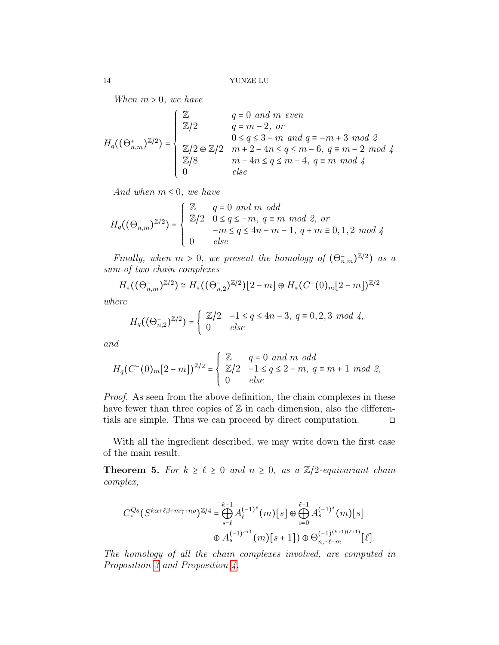When  $m > 0$ , we have

$$
H_q((\Theta_{n,m}^*)^{\mathbb{Z}/2}) = \begin{cases} \mathbb{Z} & q = 0 \text{ and } m \text{ even} \\ \mathbb{Z}/2 & q = m - 2, \text{ or} \\ & 0 \le q \le 3 - m \text{ and } q \equiv -m + 3 \text{ mod } 2 \\ \mathbb{Z}/2 \oplus \mathbb{Z}/2 & m + 2 - 4n \le q \le m - 6, \text{ } q \equiv m - 2 \text{ mod } 4 \\ \mathbb{Z}/8 & m - 4n \le q \le m - 4, \text{ } q \equiv m \text{ mod } 4 \\ 0 & else \end{cases}
$$

And when  $m \leq 0$ , we have

$$
H_q((\Theta^-_{n,m})^{\mathbb{Z}/2}) = \left\{ \begin{array}{ll} \mathbb{Z} & q = 0 \ and \ m \ odd \\ \mathbb{Z}/2 & 0 \leq q \leq -m, \ q \equiv m \ mod \ 2, \ or \\ -m \leq q \leq 4n-m-1, \ q+m \equiv 0,1,2 \ mod \ 4 \\ 0 & else \end{array} \right.
$$

Finally, when  $m > 0$ , we present the homology of  $(\Theta_{n,m}^-)^{\mathbb{Z}/2}$  as a sum of two chain complexes

$$
H_*((\Theta_{n,m}^-)^{\mathbb{Z}/2}) \cong H_*((\Theta_{n,2}^-)^{\mathbb{Z}/2})[2-m] \oplus H_*(C^-(0)_m[2-m])^{\mathbb{Z}/2}
$$

where

$$
H_q((\Theta_{n,2}^-)^{\mathbb{Z}/2}) = \begin{cases} \mathbb{Z}/2 & -1 \le q \le 4n-3, \ q \equiv 0,2,3 \ mod \ 4, \\ 0 & else \end{cases}
$$

and

$$
H_q(C^-(0)_m[2-m])^{\mathbb{Z}/2} = \begin{cases} \mathbb{Z} & q=0 \text{ and } m \text{ odd} \\ \mathbb{Z}/2 & -1 \le q \le 2-m, q \equiv m+1 \text{ mod } 2, \\ 0 & else \end{cases}
$$

Proof. As seen from the above definition, the chain complexes in these have fewer than three copies of  $\mathbb Z$  in each dimension, also the differentials are simple. Thus we can proceed by direct computation.  $\Box$ 

With all the ingredient described, we may write down the first case of the main result.

<span id="page-13-0"></span>**Theorem 5.** For  $k \geq \ell \geq 0$  and  $n \geq 0$ , as a  $\mathbb{Z}/2$ -equivariant chain complex,

$$
C^{Q_8}_*(S^{k\alpha+\ell\beta+m\gamma+n\rho})^{\mathbb{Z}/4} = \bigoplus_{s=\ell}^{k-1} A_{\ell}^{(-1)^s}(m)[s] \oplus \bigoplus_{s=0}^{\ell-1} A_s^{(-1)^s}(m)[s]
$$
  

$$
\oplus A_s^{(-1)^{s+1}}(m)[s+1]) \oplus \Theta_{n,-\ell-m}^{(-1)^{(k+1)(\ell+1)}}[\ell].
$$

The homology of all the chain complexes involved, are computed in Proposition [3](#page-11-0) and Proposition [4.](#page-12-0)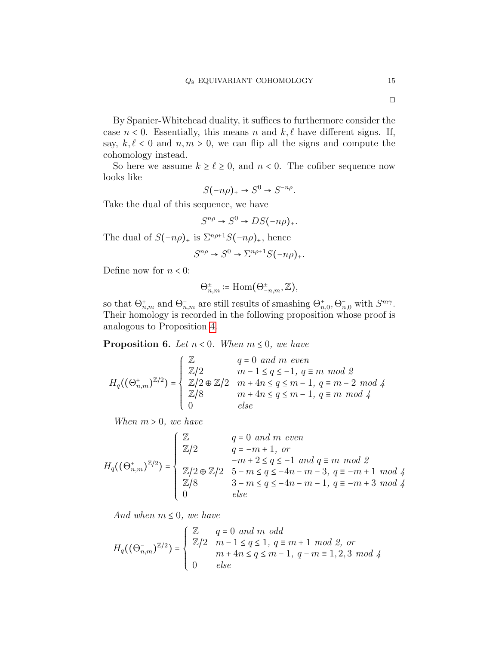By Spanier-Whitehead duality, it suffices to furthermore consider the case  $n < 0$ . Essentially, this means n and  $k, \ell$  have different signs. If, say,  $k, \ell < 0$  and  $n, m > 0$ , we can flip all the signs and compute the cohomology instead.

So here we assume  $k \geq \ell \geq 0$ , and  $n < 0$ . The cofiber sequence now looks like

$$
S(-n\rho)_+ \to S^0 \to S^{-n\rho}.
$$

Take the dual of this sequence, we have

$$
S^{n\rho} \to S^0 \to DS(-n\rho)_+.
$$

The dual of  $S(-n\rho)_+$  is  $\Sigma^{n\rho+1}S(-n\rho)_+$ , hence

$$
S^{n\rho} \to S^0 \to \Sigma^{n\rho+1} S(-n\rho)_+.
$$

Define now for  $n < 0$ :

$$
\Theta_{n,m}^{\pm} \coloneqq \text{Hom}(\Theta_{-n,m}^{\pm}, \mathbb{Z}),
$$

so that  $\Theta^+_{n,m}$  and  $\Theta^-_{n,m}$  are still results of smashing  $\Theta^+_{n,0}, \Theta^-_{n,0}$  with  $S^{m\gamma}$ . Their homology is recorded in the following proposition whose proof is analogous to Proposition [4.](#page-12-0)

<span id="page-14-0"></span>**Proposition 6.** Let  $n < 0$ . When  $m \leq 0$ , we have

$$
H_q((\Theta_{n,m}^*)^{\mathbb{Z}/2}) = \left\{ \begin{array}{ll} \mathbb{Z} & q=0 \text{ and } m \text{ even} \\ \mathbb{Z}/2 & m-1 \leq q \leq -1, \ q \equiv m \text{ mod } 2 \\ \mathbb{Z}/2 \oplus \mathbb{Z}/2 & m+4n \leq q \leq m-1, \ q \equiv m-2 \text{ mod } 4 \\ \mathbb{Z}/8 & m+4n \leq q \leq m-1, \ q \equiv m \text{ mod } 4 \\ 0 & else \end{array} \right.
$$

When  $m > 0$ , we have

$$
H_q((\Theta_{n,m}^*)^{\mathbb{Z}/2}) = \begin{cases} \mathbb{Z} & q = 0 \text{ and } m \text{ even} \\ \mathbb{Z}/2 & q = -m + 1, \text{ or} \\ -m + 2 \le q \le -1 \text{ and } q \equiv m \text{ mod } 2 \\ \mathbb{Z}/2 \oplus \mathbb{Z}/2 & 5 - m \le q \le -4n - m - 3, \ q \equiv -m + 1 \text{ mod } 4 \\ \mathbb{Z}/8 & 3 - m \le q \le -4n - m - 1, \ q \equiv -m + 3 \text{ mod } 4 \\ 0 & else \end{cases}
$$

And when  $m \leq 0$ , we have

$$
H_q((\Theta_{n,m}^-)^{\mathbb{Z}/2}) = \left\{ \begin{array}{ll} \mathbb{Z} & q=0 \text{ and } m \text{ odd} \\ \mathbb{Z}/2 & m-1 \leq q \leq 1, \ q \equiv m+1 \text{ mod } 2, \text{ or} \\ & m+4n \leq q \leq m-1, \ q-m \equiv 1,2,3 \text{ mod } 4 \\ 0 & else \end{array} \right.
$$

◻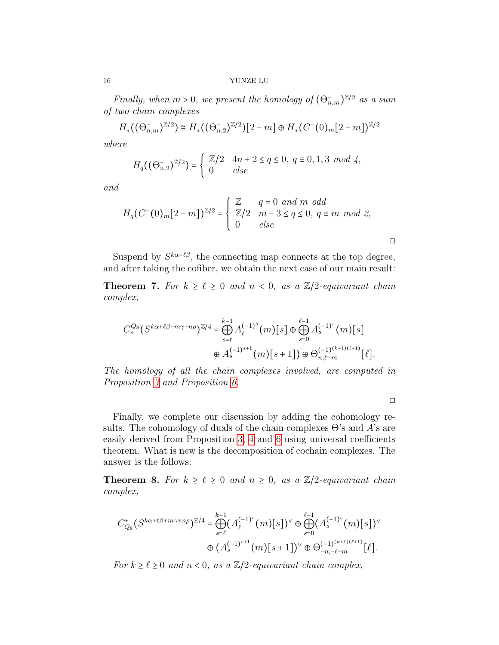Finally, when  $m > 0$ , we present the homology of  $(\Theta_{n,m}^-)^{\mathbb{Z}/2}$  as a sum of two chain complexes

$$
H_*((\Theta_{n,m}^-)^{\mathbb{Z}/2}) \cong H_*((\Theta_{n,2}^-)^{\mathbb{Z}/2})[2-m] \oplus H_*(C^-(0)_m[2-m])^{\mathbb{Z}/2}
$$

where

$$
H_q((\Theta_{n,2}^-)^{\mathbb{Z}/2}) = \begin{cases} \mathbb{Z}/2 & 4n + 2 \le q \le 0, \ q \equiv 0, 1, 3 \mod 4, \\ 0 & else \end{cases}
$$

and

$$
H_q(C^-(0)_m[2-m])^{\mathbb{Z}/2} = \begin{cases} \mathbb{Z} & q=0 \text{ and } m \text{ odd} \\ \mathbb{Z}/2 & m-3 \le q \le 0, q \equiv m \text{ mod } 2, \\ 0 & else \end{cases}
$$

Suspend by  $S^{k\alpha+\ell\beta}$ , the connecting map connects at the top degree, and after taking the cofiber, we obtain the next case of our main result:

<span id="page-15-0"></span>**Theorem 7.** For  $k \geq \ell \geq 0$  and  $n < 0$ , as a  $\mathbb{Z}/2$ -equivariant chain complex,

$$
C_{*}^{Q_{8}}(S^{k\alpha+\ell\beta+m\gamma+n\rho})^{\mathbb{Z}/4} = \bigoplus_{s=\ell}^{k-1} A_{\ell}^{(-1)^{s}}(m)[s] \oplus \bigoplus_{s=0}^{\ell-1} A_{s}^{(-1)^{s}}(m)[s] \oplus A_{s}^{(-1)^{s+1}}(m)[s+1]) \oplus \Theta_{n,\ell-m}^{(-1)^{(k+1)(\ell+1)}}[\ell].
$$

The homology of all the chain complexes involved, are computed in Proposition [3](#page-11-0) and Proposition [6.](#page-14-0)

◻

◻

Finally, we complete our discussion by adding the cohomology results. The cohomology of duals of the chain complexes  $\Theta$ 's and A's are easily derived from Proposition [3,](#page-11-0) [4](#page-12-0) and [6](#page-14-0) using universal coefficients theorem. What is new is the decomposition of cochain complexes. The answer is the follows:

<span id="page-15-1"></span>**Theorem 8.** For  $k \geq \ell \geq 0$  and  $n \geq 0$ , as a  $\mathbb{Z}/2$ -equivariant chain complex,

$$
C_{Q_8}^*(S^{k\alpha+\ell\beta+m\gamma+n\rho})^{\mathbb{Z}/4} = \bigoplus_{s=\ell}^{k-1} (A_{\ell}^{(-1)^s}(m)[s])^{\vee} \oplus \bigoplus_{s=0}^{\ell-1} (A_s^{(-1)^s}(m)[s])^{\vee}
$$

$$
\oplus (A_s^{(-1)^{s+1}}(m)[s+1])^{\vee} \oplus \Theta_{-n,-\ell-m}^{(-1)^{(k+1)}(\ell+1)}[\ell].
$$

For  $k \geq \ell \geq 0$  and  $n < 0$ , as a  $\mathbb{Z}/2$ -equivariant chain complex,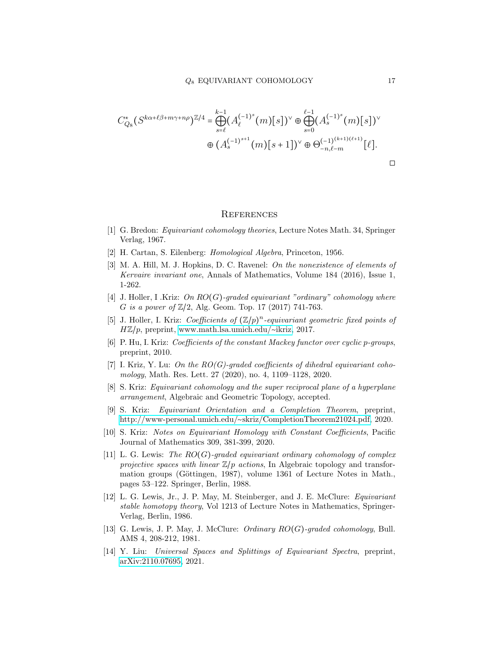$$
C_{Q_8}^*(S^{k\alpha+\ell\beta+m\gamma+n\rho})^{\mathbb{Z}/4} = \bigoplus_{s=\ell}^{k-1} (A_{\ell}^{(-1)^s}(m)[s])^{\vee} \oplus \bigoplus_{s=0}^{\ell-1} (A_s^{(-1)^s}(m)[s])^{\vee}
$$

$$
\oplus (A_s^{(-1)^{s+1}}(m)[s+1])^{\vee} \oplus \Theta_{-n,\ell-m}^{(-1)^{(k+1)(\ell+1)}}[\ell].
$$

#### **REFERENCES**

- <span id="page-16-11"></span>[1] G. Bredon: Equivariant cohomology theories, Lecture Notes Math. 34, Springer Verlag, 1967.
- <span id="page-16-12"></span>[2] H. Cartan, S. Eilenberg: Homological Algebra, Princeton, 1956.
- <span id="page-16-1"></span>[3] M. A. Hill, M. J. Hopkins, D. C. Ravenel: On the nonexistence of elements of Kervaire invariant one, Annals of Mathematics, Volume 184 (2016), Issue 1, 1-262.
- <span id="page-16-2"></span>[4] J. Holler, I .Kriz: On RO(G)-graded equivariant "ordinary" cohomology where G is a power of  $\mathbb{Z}/2$ , Alg. Geom. Top. 17 (2017) 741-763.
- <span id="page-16-3"></span>[5] J. Holler, I. Kriz: Coefficients of  $(\mathbb{Z}/p)^n$ -equivariant geometric fixed points of HZ/p, preprint, [www.math.lsa.umich.edu/](https://www.math.lsa.umich.edu/$\sim $ikriz)∼ikriz, 2017.
- <span id="page-16-4"></span>[6] P. Hu, I. Kriz: Coefficients of the constant Mackey functor over cyclic p-groups, preprint, 2010.
- <span id="page-16-6"></span>[7] I. Kriz, Y. Lu: On the  $RO(G)$ -graded coefficients of dihedral equivariant cohomology, Math. Res. Lett. 27 (2020), no. 4, 1109–1128, 2020.
- <span id="page-16-5"></span>[8] S. Kriz: Equivariant cohomology and the super reciprocal plane of a hyperplane arrangement, Algebraic and Geometric Topology, accepted.
- <span id="page-16-13"></span>[9] S. Kriz: Equivariant Orientation and a Completion Theorem, preprint, http://www-personal.umich.edu/∼[skriz/CompletionTheorem21024.pdf,](http://www-personal.umich.edu/~skriz/CompletionTheorem21024.pdf) 2020.
- <span id="page-16-8"></span>[10] S. Kriz: Notes on Equivariant Homology with Constant Coefficients, Pacific Journal of Mathematics 309, 381-399, 2020.
- <span id="page-16-9"></span>[11] L. G. Lewis: The  $RO(G)$ -graded equivariant ordinary cohomology of complex projective spaces with linear  $\mathbb{Z}/p$  actions, In Algebraic topology and transformation groups (Göttingen, 1987), volume 1361 of Lecture Notes in Math., pages 53–122. Springer, Berlin, 1988.
- <span id="page-16-10"></span>[12] L. G. Lewis, Jr., J. P. May, M. Steinberger, and J. E. McClure: Equivariant stable homotopy theory, Vol 1213 of Lecture Notes in Mathematics, Springer-Verlag, Berlin, 1986.
- <span id="page-16-0"></span>[13] G. Lewis, J. P. May, J. McClure: *Ordinary RO(G)-graded cohomology*, Bull. AMS 4, 208-212, 1981.
- <span id="page-16-7"></span>[14] Y. Liu: Universal Spaces and Splittings of Equivariant Spectra, preprint, [arXiv:2110.07695,](https://arxiv.org/abs/2110.07695) 2021.